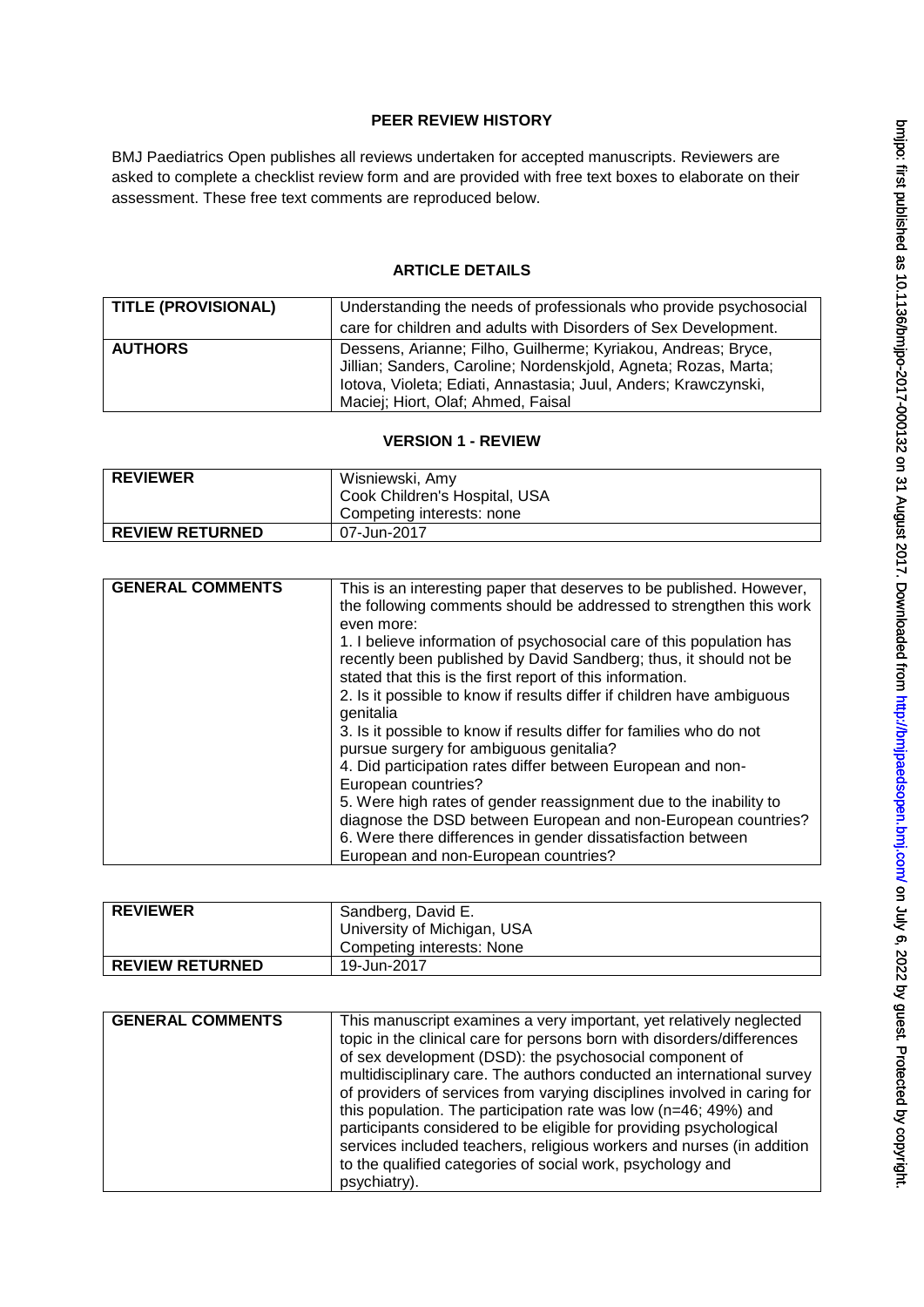# **PEER REVIEW HISTORY**

BMJ Paediatrics Open publishes all reviews undertaken for accepted manuscripts. Reviewers are asked to complete a checklist review form and are provided with free text boxes to elaborate on their assessment. These free text comments are reproduced below.

# **ARTICLE DETAILS**

| <b>TITLE (PROVISIONAL)</b> | Understanding the needs of professionals who provide psychosocial<br>care for children and adults with Disorders of Sex Development.                                                                                                      |
|----------------------------|-------------------------------------------------------------------------------------------------------------------------------------------------------------------------------------------------------------------------------------------|
| <b>AUTHORS</b>             | Dessens, Arianne; Filho, Guilherme; Kyriakou, Andreas; Bryce,<br>Jillian; Sanders, Caroline; Nordenskjold, Agneta; Rozas, Marta;<br>lotova, Violeta; Ediati, Annastasia; Juul, Anders; Krawczynski,<br>Maciej; Hiort, Olaf; Ahmed, Faisal |

#### **VERSION 1 - REVIEW**

| <b>REVIEWER</b>        | Wisniewski, Amy               |
|------------------------|-------------------------------|
|                        | Cook Children's Hospital, USA |
|                        | Competing interests: none     |
| <b>REVIEW RETURNED</b> | 07-Jun-2017                   |

| <b>GENERAL COMMENTS</b> | This is an interesting paper that deserves to be published. However,<br>the following comments should be addressed to strengthen this work<br>even more:                                               |
|-------------------------|--------------------------------------------------------------------------------------------------------------------------------------------------------------------------------------------------------|
|                         | 1. I believe information of psychosocial care of this population has<br>recently been published by David Sandberg; thus, it should not be<br>stated that this is the first report of this information. |
|                         | 2. Is it possible to know if results differ if children have ambiguous<br>genitalia                                                                                                                    |
|                         | 3. Is it possible to know if results differ for families who do not<br>pursue surgery for ambiguous genitalia?                                                                                         |
|                         | 4. Did participation rates differ between European and non-<br>European countries?                                                                                                                     |
|                         | 5. Were high rates of gender reassignment due to the inability to                                                                                                                                      |
|                         | diagnose the DSD between European and non-European countries?<br>6. Were there differences in gender dissatisfaction between                                                                           |
|                         | European and non-European countries?                                                                                                                                                                   |

| <b>REVIEWER</b>        | Sandberg, David E.          |
|------------------------|-----------------------------|
|                        | University of Michigan, USA |
|                        | Competing interests: None   |
| <b>REVIEW RETURNED</b> | 19-Jun-2017                 |

| <b>GENERAL COMMENTS</b> | This manuscript examines a very important, yet relatively neglected<br>topic in the clinical care for persons born with disorders/differences<br>of sex development (DSD): the psychosocial component of<br>multidisciplinary care. The authors conducted an international survey<br>of providers of services from varying disciplines involved in caring for<br>this population. The participation rate was low (n=46; 49%) and<br>participants considered to be eligible for providing psychological<br>services included teachers, religious workers and nurses (in addition |
|-------------------------|---------------------------------------------------------------------------------------------------------------------------------------------------------------------------------------------------------------------------------------------------------------------------------------------------------------------------------------------------------------------------------------------------------------------------------------------------------------------------------------------------------------------------------------------------------------------------------|
|                         | to the qualified categories of social work, psychology and<br>psychiatry).                                                                                                                                                                                                                                                                                                                                                                                                                                                                                                      |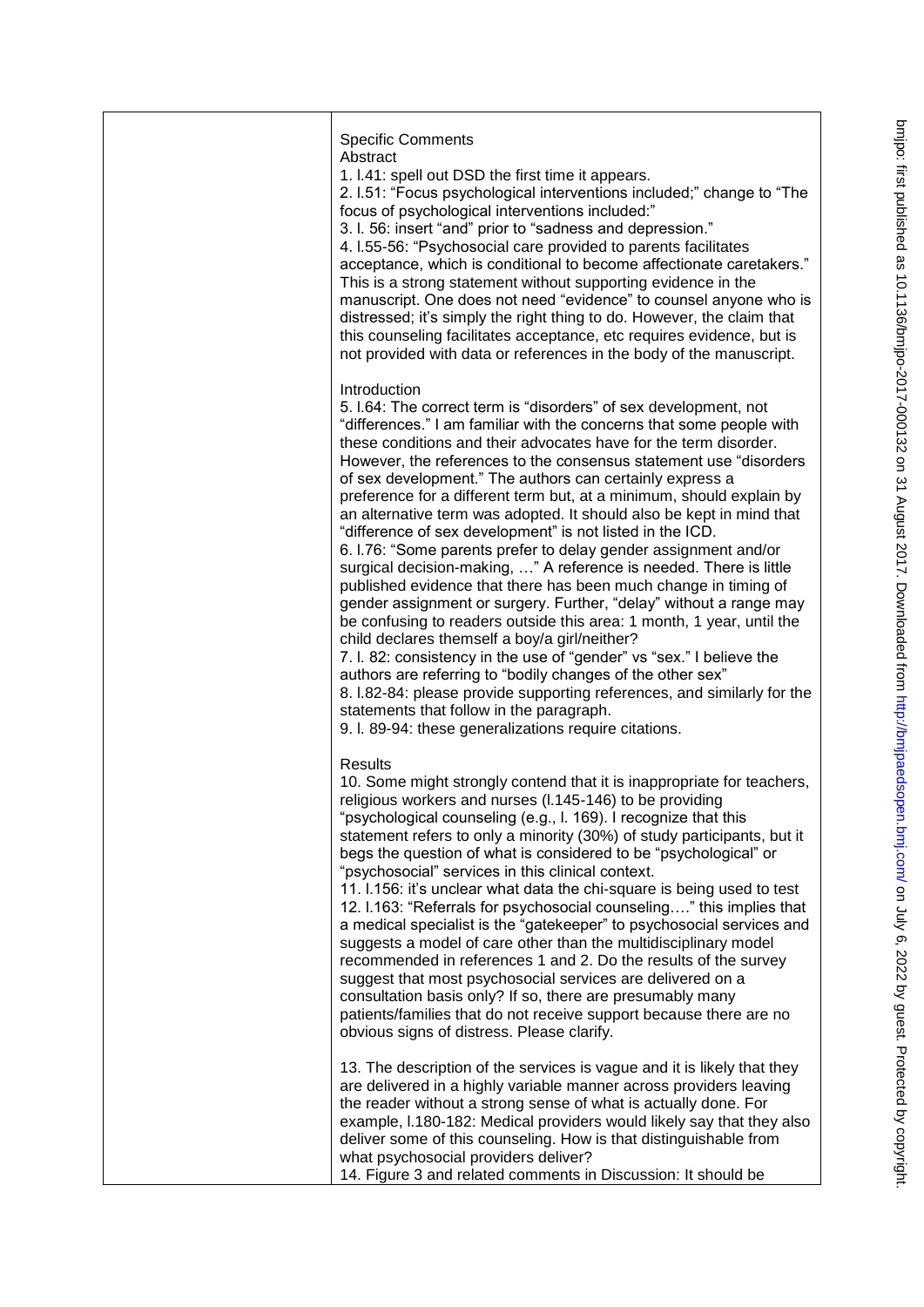| <b>Specific Comments</b><br>Abstract<br>1. I.41: spell out DSD the first time it appears.<br>2. I.51: "Focus psychological interventions included;" change to "The<br>focus of psychological interventions included:"<br>3. I. 56: insert "and" prior to "sadness and depression."<br>4. I.55-56: "Psychosocial care provided to parents facilitates<br>acceptance, which is conditional to become affectionate caretakers."<br>This is a strong statement without supporting evidence in the<br>manuscript. One does not need "evidence" to counsel anyone who is<br>distressed; it's simply the right thing to do. However, the claim that<br>this counseling facilitates acceptance, etc requires evidence, but is<br>not provided with data or references in the body of the manuscript.                                                                                                                                                                                                                                                                                                                                                                                                                                                                                                                  |
|---------------------------------------------------------------------------------------------------------------------------------------------------------------------------------------------------------------------------------------------------------------------------------------------------------------------------------------------------------------------------------------------------------------------------------------------------------------------------------------------------------------------------------------------------------------------------------------------------------------------------------------------------------------------------------------------------------------------------------------------------------------------------------------------------------------------------------------------------------------------------------------------------------------------------------------------------------------------------------------------------------------------------------------------------------------------------------------------------------------------------------------------------------------------------------------------------------------------------------------------------------------------------------------------------------------|
| Introduction<br>5. I.64: The correct term is "disorders" of sex development, not<br>"differences." I am familiar with the concerns that some people with<br>these conditions and their advocates have for the term disorder.<br>However, the references to the consensus statement use "disorders"<br>of sex development." The authors can certainly express a<br>preference for a different term but, at a minimum, should explain by<br>an alternative term was adopted. It should also be kept in mind that<br>"difference of sex development" is not listed in the ICD.<br>6. I.76: "Some parents prefer to delay gender assignment and/or<br>surgical decision-making, " A reference is needed. There is little<br>published evidence that there has been much change in timing of<br>gender assignment or surgery. Further, "delay" without a range may<br>be confusing to readers outside this area: 1 month, 1 year, until the<br>child declares themself a boy/a girl/neither?<br>7. I. 82: consistency in the use of "gender" vs "sex." I believe the<br>authors are referring to "bodily changes of the other sex"<br>8. I.82-84: please provide supporting references, and similarly for the<br>statements that follow in the paragraph.<br>9. I. 89-94: these generalizations require citations. |
| Results<br>10. Some might strongly contend that it is inappropriate for teachers,<br>religious workers and nurses (I.145-146) to be providing<br>"psychological counseling (e.g., l. 169). I recognize that this<br>statement refers to only a minority (30%) of study participants, but it<br>begs the question of what is considered to be "psychological" or<br>"psychosocial" services in this clinical context.<br>11. I.156: it's unclear what data the chi-square is being used to test<br>12. I.163: "Referrals for psychosocial counseling" this implies that<br>a medical specialist is the "gatekeeper" to psychosocial services and<br>suggests a model of care other than the multidisciplinary model<br>recommended in references 1 and 2. Do the results of the survey<br>suggest that most psychosocial services are delivered on a<br>consultation basis only? If so, there are presumably many<br>patients/families that do not receive support because there are no<br>obvious signs of distress. Please clarify.                                                                                                                                                                                                                                                                          |
| 13. The description of the services is vague and it is likely that they<br>are delivered in a highly variable manner across providers leaving<br>the reader without a strong sense of what is actually done. For<br>example, I.180-182: Medical providers would likely say that they also<br>deliver some of this counseling. How is that distinguishable from<br>what psychosocial providers deliver?<br>14. Figure 3 and related comments in Discussion: It should be                                                                                                                                                                                                                                                                                                                                                                                                                                                                                                                                                                                                                                                                                                                                                                                                                                       |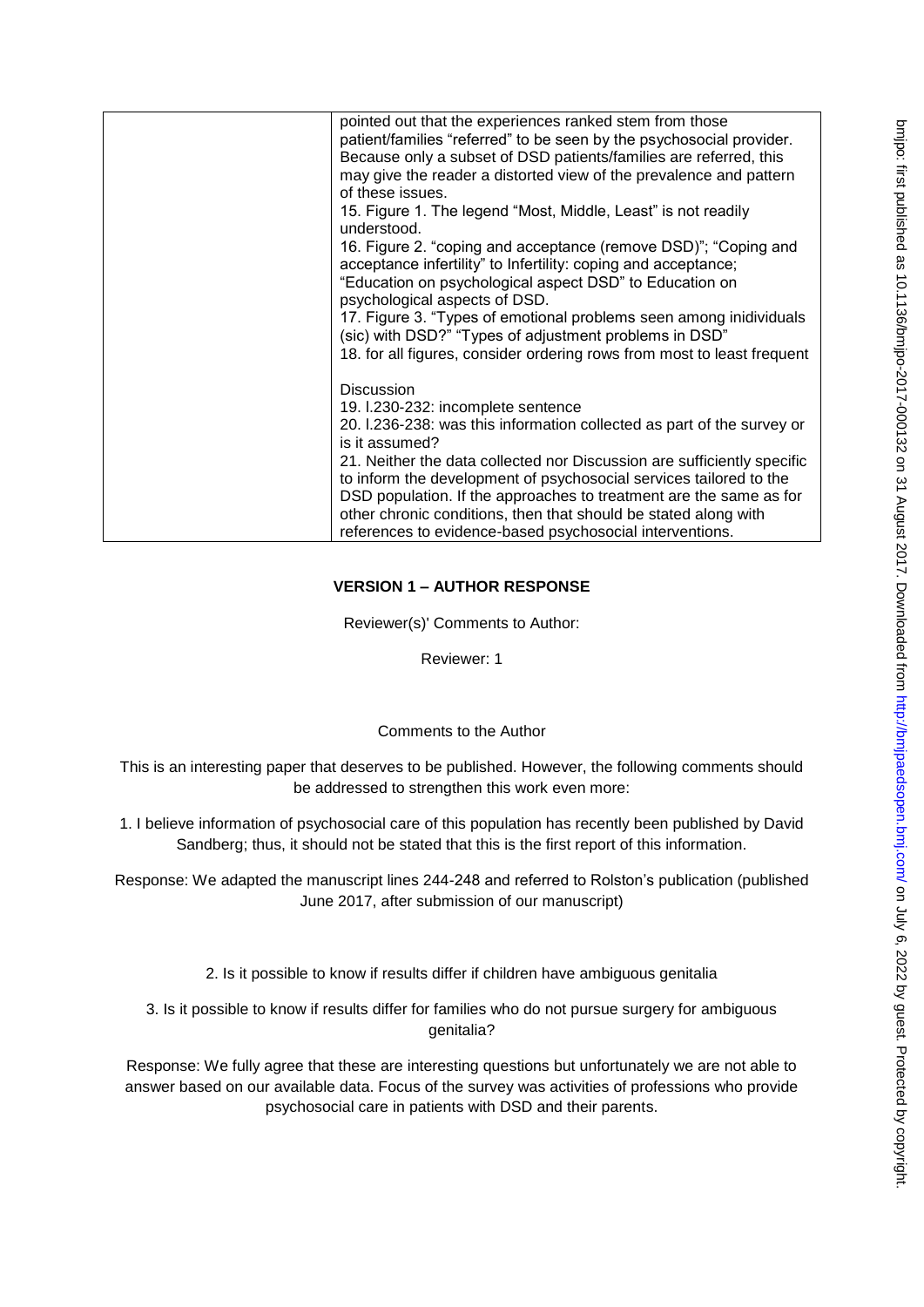| pointed out that the experiences ranked stem from those<br>patient/families "referred" to be seen by the psychosocial provider.<br>Because only a subset of DSD patients/families are referred, this<br>may give the reader a distorted view of the prevalence and pattern<br>of these issues.<br>15. Figure 1. The legend "Most, Middle, Least" is not readily<br>understood.<br>16. Figure 2. "coping and acceptance (remove DSD)"; "Coping and<br>acceptance infertility" to Infertility: coping and acceptance;<br>"Education on psychological aspect DSD" to Education on<br>psychological aspects of DSD. |
|-----------------------------------------------------------------------------------------------------------------------------------------------------------------------------------------------------------------------------------------------------------------------------------------------------------------------------------------------------------------------------------------------------------------------------------------------------------------------------------------------------------------------------------------------------------------------------------------------------------------|
| 17. Figure 3. "Types of emotional problems seen among inidividuals<br>(sic) with DSD?" "Types of adjustment problems in DSD"<br>18. for all figures, consider ordering rows from most to least frequent                                                                                                                                                                                                                                                                                                                                                                                                         |
| <b>Discussion</b><br>19. I.230-232: incomplete sentence<br>20. I.236-238: was this information collected as part of the survey or<br>is it assumed?<br>21. Neither the data collected nor Discussion are sufficiently specific<br>to inform the development of psychosocial services tailored to the<br>DSD population. If the approaches to treatment are the same as for<br>other chronic conditions, then that should be stated along with<br>references to evidence-based psychosocial interventions.                                                                                                       |

# **VERSION 1 – AUTHOR RESPONSE**

Reviewer(s)' Comments to Author:

Reviewer: 1

# Comments to the Author

This is an interesting paper that deserves to be published. However, the following comments should be addressed to strengthen this work even more:

1. I believe information of psychosocial care of this population has recently been published by David Sandberg; thus, it should not be stated that this is the first report of this information.

Response: We adapted the manuscript lines 244-248 and referred to Rolston's publication (published June 2017, after submission of our manuscript)

- 2. Is it possible to know if results differ if children have ambiguous genitalia
- 3. Is it possible to know if results differ for families who do not pursue surgery for ambiguous genitalia?

Response: We fully agree that these are interesting questions but unfortunately we are not able to answer based on our available data. Focus of the survey was activities of professions who provide psychosocial care in patients with DSD and their parents.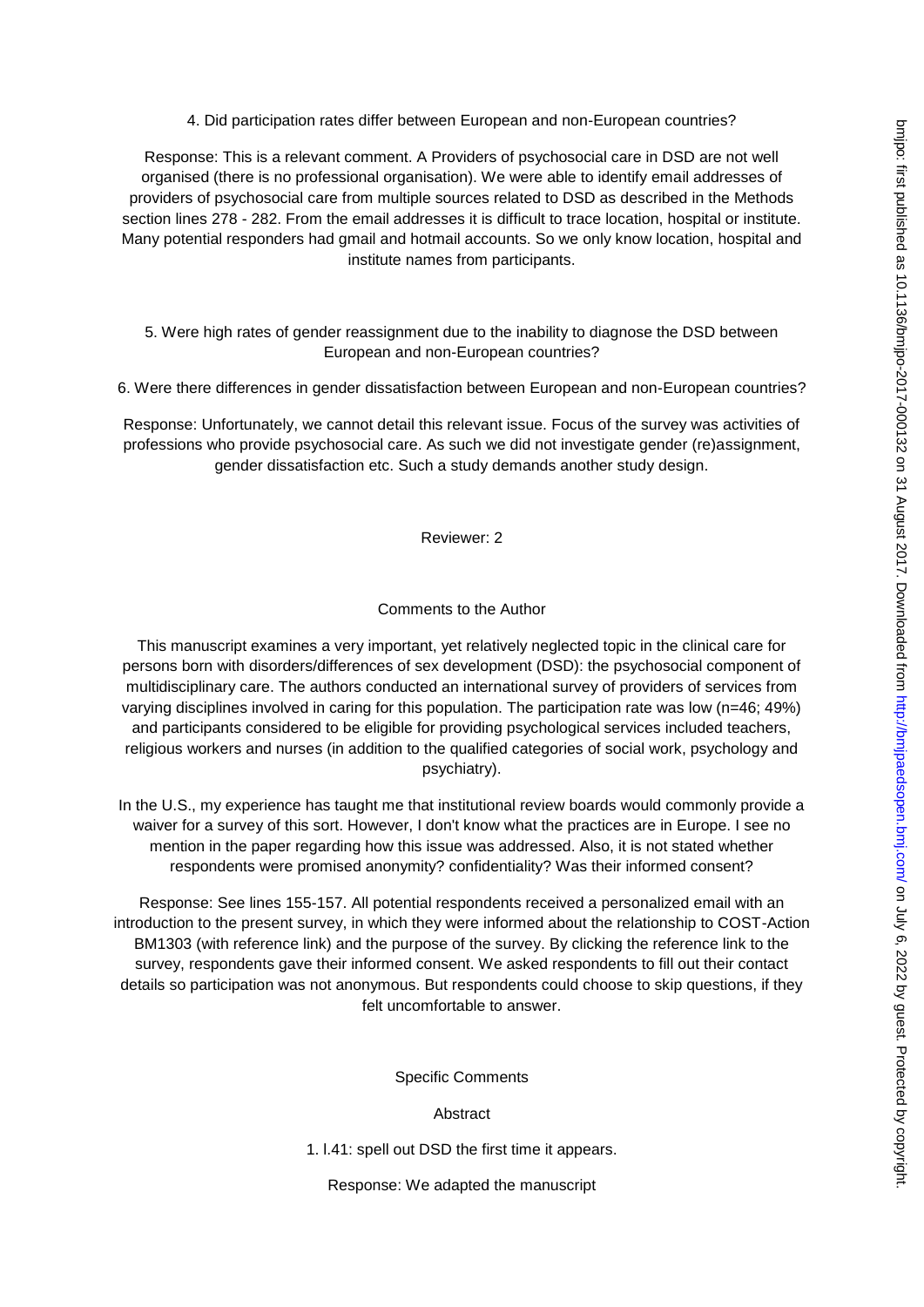4. Did participation rates differ between European and non-European countries?

Response: This is a relevant comment. A Providers of psychosocial care in DSD are not well organised (there is no professional organisation). We were able to identify email addresses of providers of psychosocial care from multiple sources related to DSD as described in the Methods section lines 278 - 282. From the email addresses it is difficult to trace location, hospital or institute. Many potential responders had gmail and hotmail accounts. So we only know location, hospital and institute names from participants.

5. Were high rates of gender reassignment due to the inability to diagnose the DSD between European and non-European countries?

6. Were there differences in gender dissatisfaction between European and non-European countries?

Response: Unfortunately, we cannot detail this relevant issue. Focus of the survey was activities of professions who provide psychosocial care. As such we did not investigate gender (re)assignment, gender dissatisfaction etc. Such a study demands another study design.

Reviewer: 2

# Comments to the Author

This manuscript examines a very important, yet relatively neglected topic in the clinical care for persons born with disorders/differences of sex development (DSD): the psychosocial component of multidisciplinary care. The authors conducted an international survey of providers of services from varying disciplines involved in caring for this population. The participation rate was low (n=46; 49%) and participants considered to be eligible for providing psychological services included teachers, religious workers and nurses (in addition to the qualified categories of social work, psychology and psychiatry).

In the U.S., my experience has taught me that institutional review boards would commonly provide a waiver for a survey of this sort. However, I don't know what the practices are in Europe. I see no mention in the paper regarding how this issue was addressed. Also, it is not stated whether respondents were promised anonymity? confidentiality? Was their informed consent?

Response: See lines 155-157. All potential respondents received a personalized email with an introduction to the present survey, in which they were informed about the relationship to COST-Action BM1303 (with reference link) and the purpose of the survey. By clicking the reference link to the survey, respondents gave their informed consent. We asked respondents to fill out their contact details so participation was not anonymous. But respondents could choose to skip questions, if they felt uncomfortable to answer.

Specific Comments

Abstract

1. l.41: spell out DSD the first time it appears.

Response: We adapted the manuscript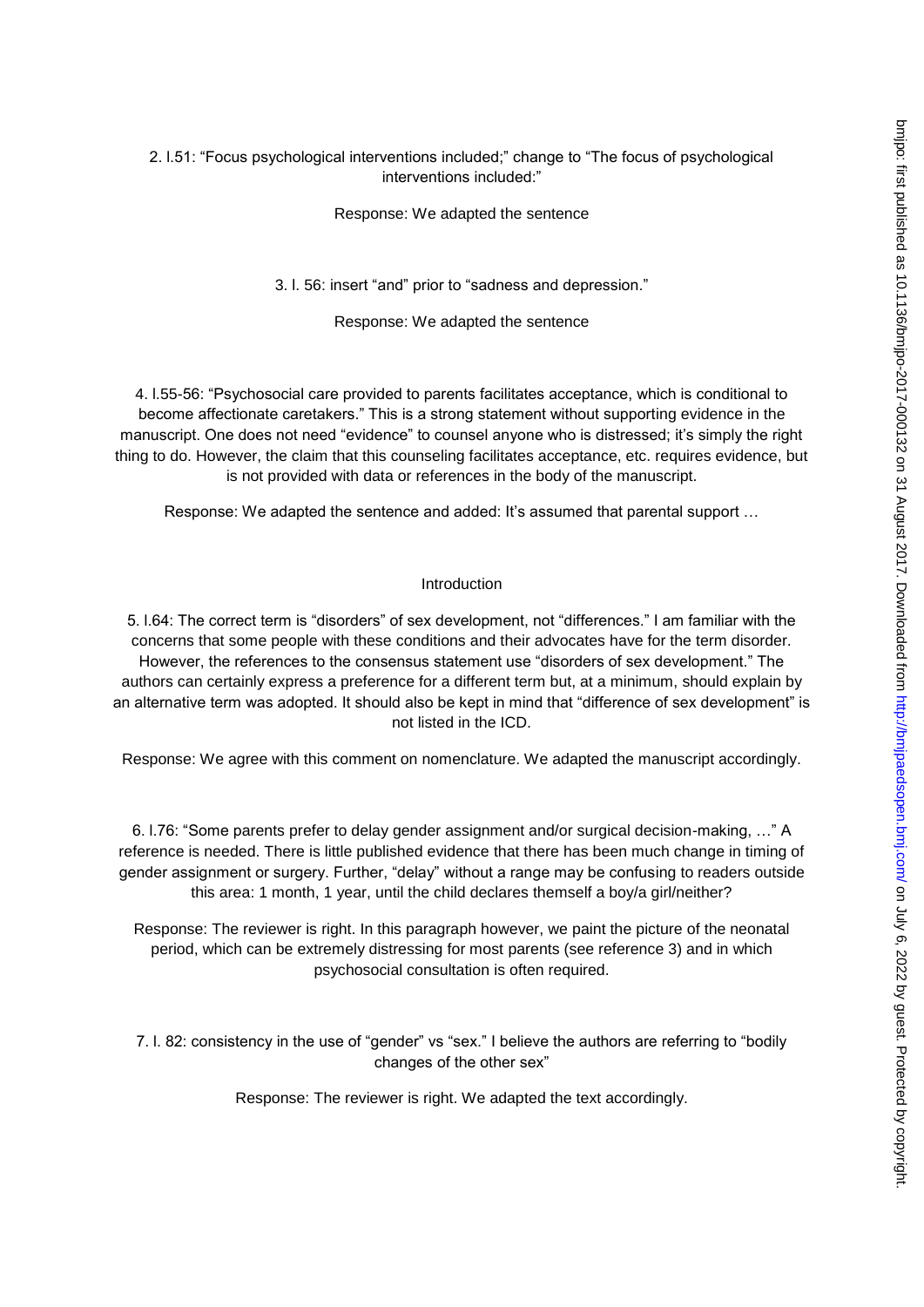#### 2. l.51: "Focus psychological interventions included;" change to "The focus of psychological interventions included:"

Response: We adapted the sentence

3. l. 56: insert "and" prior to "sadness and depression."

Response: We adapted the sentence

4. l.55-56: "Psychosocial care provided to parents facilitates acceptance, which is conditional to become affectionate caretakers." This is a strong statement without supporting evidence in the manuscript. One does not need "evidence" to counsel anyone who is distressed; it's simply the right thing to do. However, the claim that this counseling facilitates acceptance, etc. requires evidence, but is not provided with data or references in the body of the manuscript.

Response: We adapted the sentence and added: It's assumed that parental support …

#### Introduction

5. l.64: The correct term is "disorders" of sex development, not "differences." I am familiar with the concerns that some people with these conditions and their advocates have for the term disorder. However, the references to the consensus statement use "disorders of sex development." The authors can certainly express a preference for a different term but, at a minimum, should explain by an alternative term was adopted. It should also be kept in mind that "difference of sex development" is not listed in the ICD.

Response: We agree with this comment on nomenclature. We adapted the manuscript accordingly.

6. l.76: "Some parents prefer to delay gender assignment and/or surgical decision-making, …" A reference is needed. There is little published evidence that there has been much change in timing of gender assignment or surgery. Further, "delay" without a range may be confusing to readers outside this area: 1 month, 1 year, until the child declares themself a boy/a girl/neither?

Response: The reviewer is right. In this paragraph however, we paint the picture of the neonatal period, which can be extremely distressing for most parents (see reference 3) and in which psychosocial consultation is often required.

7. l. 82: consistency in the use of "gender" vs "sex." I believe the authors are referring to "bodily changes of the other sex"

Response: The reviewer is right. We adapted the text accordingly.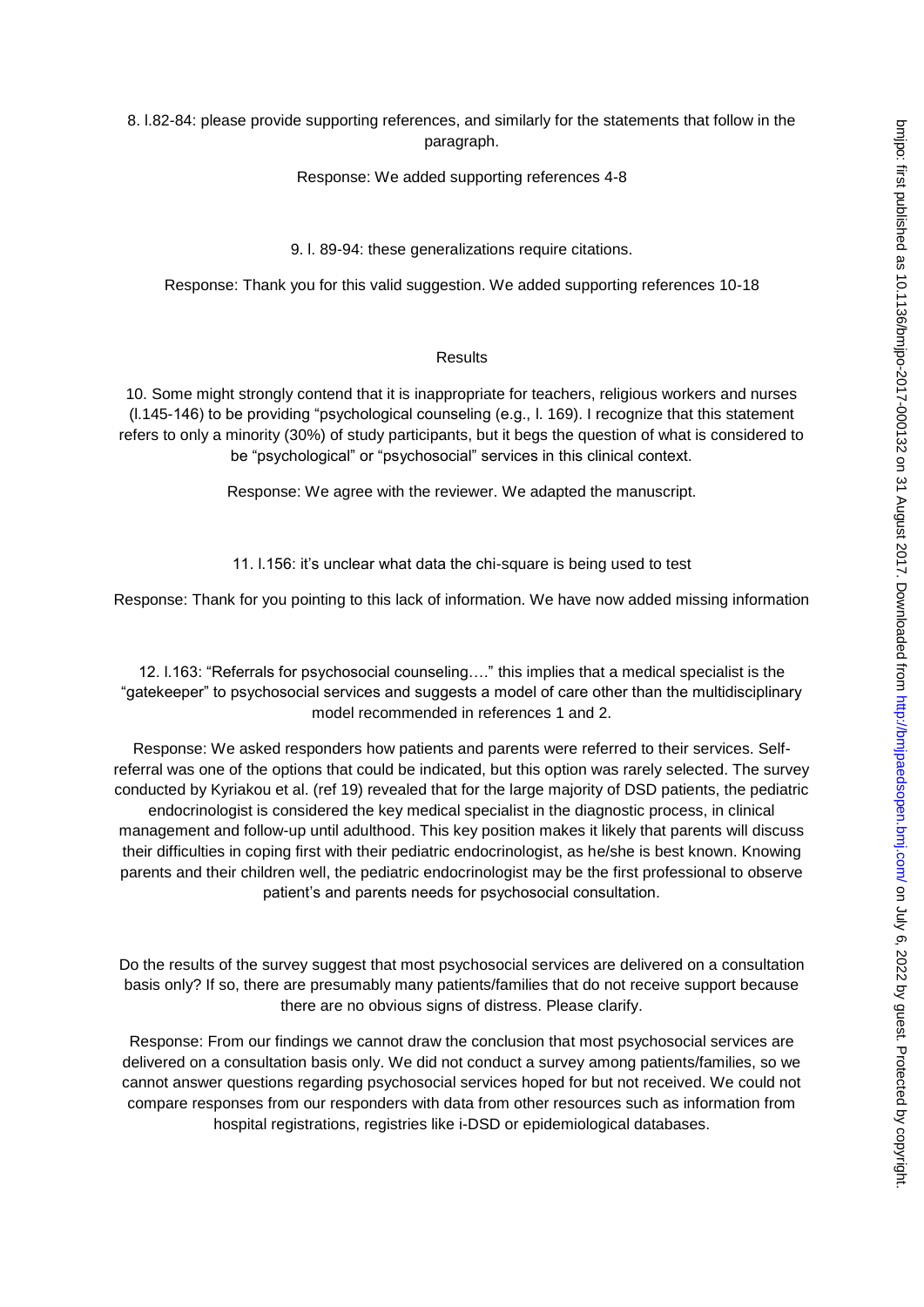8. l.82-84: please provide supporting references, and similarly for the statements that follow in the paragraph.

Response: We added supporting references 4-8

9. l. 89-94: these generalizations require citations.

Response: Thank you for this valid suggestion. We added supporting references 10-18

#### Results

10. Some might strongly contend that it is inappropriate for teachers, religious workers and nurses (l.145-146) to be providing "psychological counseling (e.g., l. 169). I recognize that this statement refers to only a minority (30%) of study participants, but it begs the question of what is considered to be "psychological" or "psychosocial" services in this clinical context.

Response: We agree with the reviewer. We adapted the manuscript.

11. l.156: it's unclear what data the chi-square is being used to test

Response: Thank for you pointing to this lack of information. We have now added missing information

12. l.163: "Referrals for psychosocial counseling…." this implies that a medical specialist is the "gatekeeper" to psychosocial services and suggests a model of care other than the multidisciplinary model recommended in references 1 and 2.

Response: We asked responders how patients and parents were referred to their services. Selfreferral was one of the options that could be indicated, but this option was rarely selected. The survey conducted by Kyriakou et al. (ref 19) revealed that for the large majority of DSD patients, the pediatric endocrinologist is considered the key medical specialist in the diagnostic process, in clinical management and follow-up until adulthood. This key position makes it likely that parents will discuss their difficulties in coping first with their pediatric endocrinologist, as he/she is best known. Knowing parents and their children well, the pediatric endocrinologist may be the first professional to observe patient's and parents needs for psychosocial consultation.

Do the results of the survey suggest that most psychosocial services are delivered on a consultation basis only? If so, there are presumably many patients/families that do not receive support because there are no obvious signs of distress. Please clarify.

Response: From our findings we cannot draw the conclusion that most psychosocial services are delivered on a consultation basis only. We did not conduct a survey among patients/families, so we cannot answer questions regarding psychosocial services hoped for but not received. We could not compare responses from our responders with data from other resources such as information from hospital registrations, registries like i-DSD or epidemiological databases.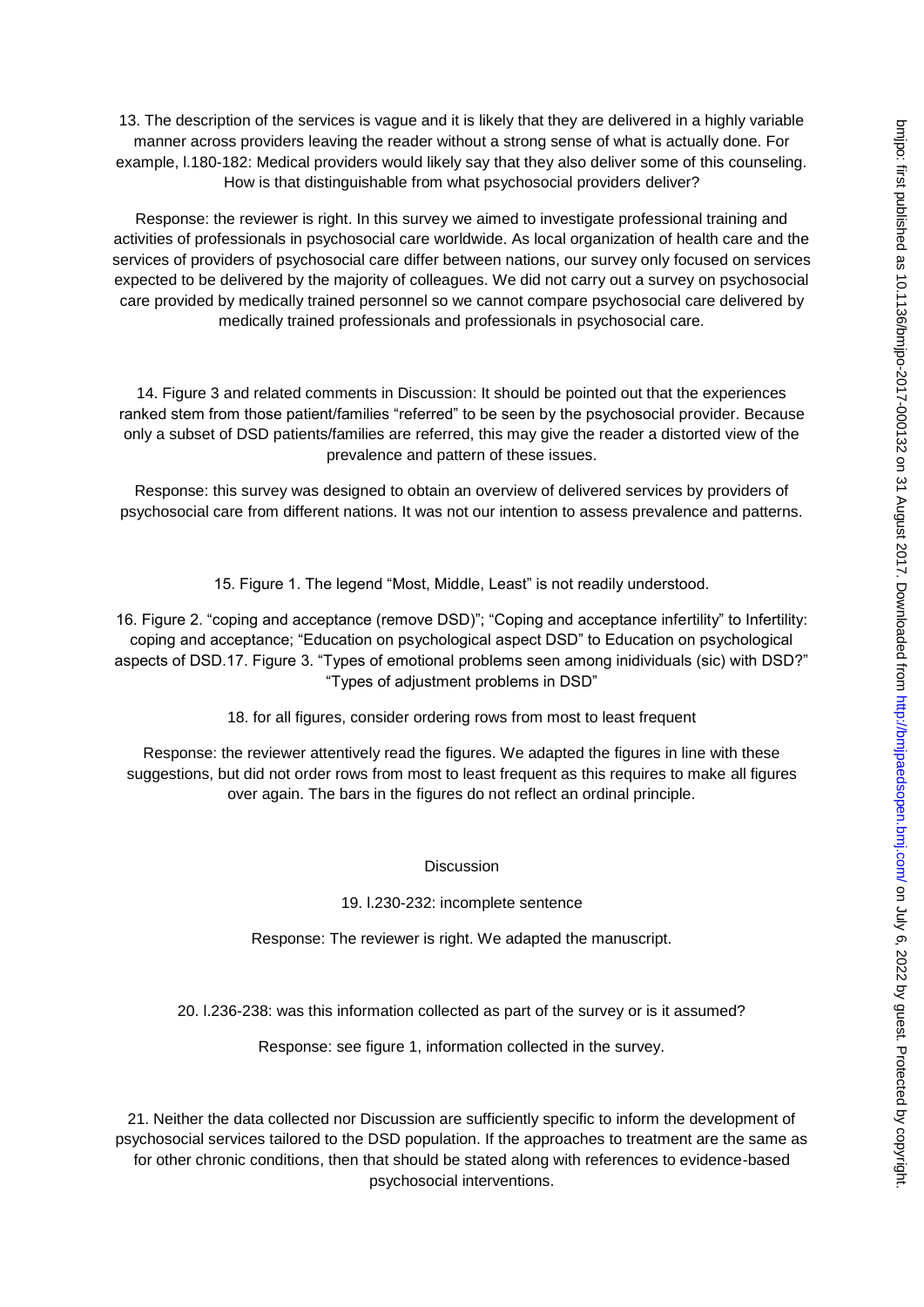13. The description of the services is vague and it is likely that they are delivered in a highly variable manner across providers leaving the reader without a strong sense of what is actually done. For example, l.180-182: Medical providers would likely say that they also deliver some of this counseling. How is that distinguishable from what psychosocial providers deliver?

Response: the reviewer is right. In this survey we aimed to investigate professional training and activities of professionals in psychosocial care worldwide. As local organization of health care and the services of providers of psychosocial care differ between nations, our survey only focused on services expected to be delivered by the majority of colleagues. We did not carry out a survey on psychosocial care provided by medically trained personnel so we cannot compare psychosocial care delivered by medically trained professionals and professionals in psychosocial care.

14. Figure 3 and related comments in Discussion: It should be pointed out that the experiences ranked stem from those patient/families "referred" to be seen by the psychosocial provider. Because only a subset of DSD patients/families are referred, this may give the reader a distorted view of the prevalence and pattern of these issues.

Response: this survey was designed to obtain an overview of delivered services by providers of psychosocial care from different nations. It was not our intention to assess prevalence and patterns.

15. Figure 1. The legend "Most, Middle, Least" is not readily understood.

16. Figure 2. "coping and acceptance (remove DSD)"; "Coping and acceptance infertility" to Infertility: coping and acceptance; "Education on psychological aspect DSD" to Education on psychological aspects of DSD.17. Figure 3. "Types of emotional problems seen among inidividuals (sic) with DSD?" "Types of adjustment problems in DSD"

18. for all figures, consider ordering rows from most to least frequent

Response: the reviewer attentively read the figures. We adapted the figures in line with these suggestions, but did not order rows from most to least frequent as this requires to make all figures over again. The bars in the figures do not reflect an ordinal principle.

**Discussion** 

19. l.230-232: incomplete sentence

Response: The reviewer is right. We adapted the manuscript.

20. l.236-238: was this information collected as part of the survey or is it assumed?

Response: see figure 1, information collected in the survey.

21. Neither the data collected nor Discussion are sufficiently specific to inform the development of psychosocial services tailored to the DSD population. If the approaches to treatment are the same as for other chronic conditions, then that should be stated along with references to evidence-based psychosocial interventions.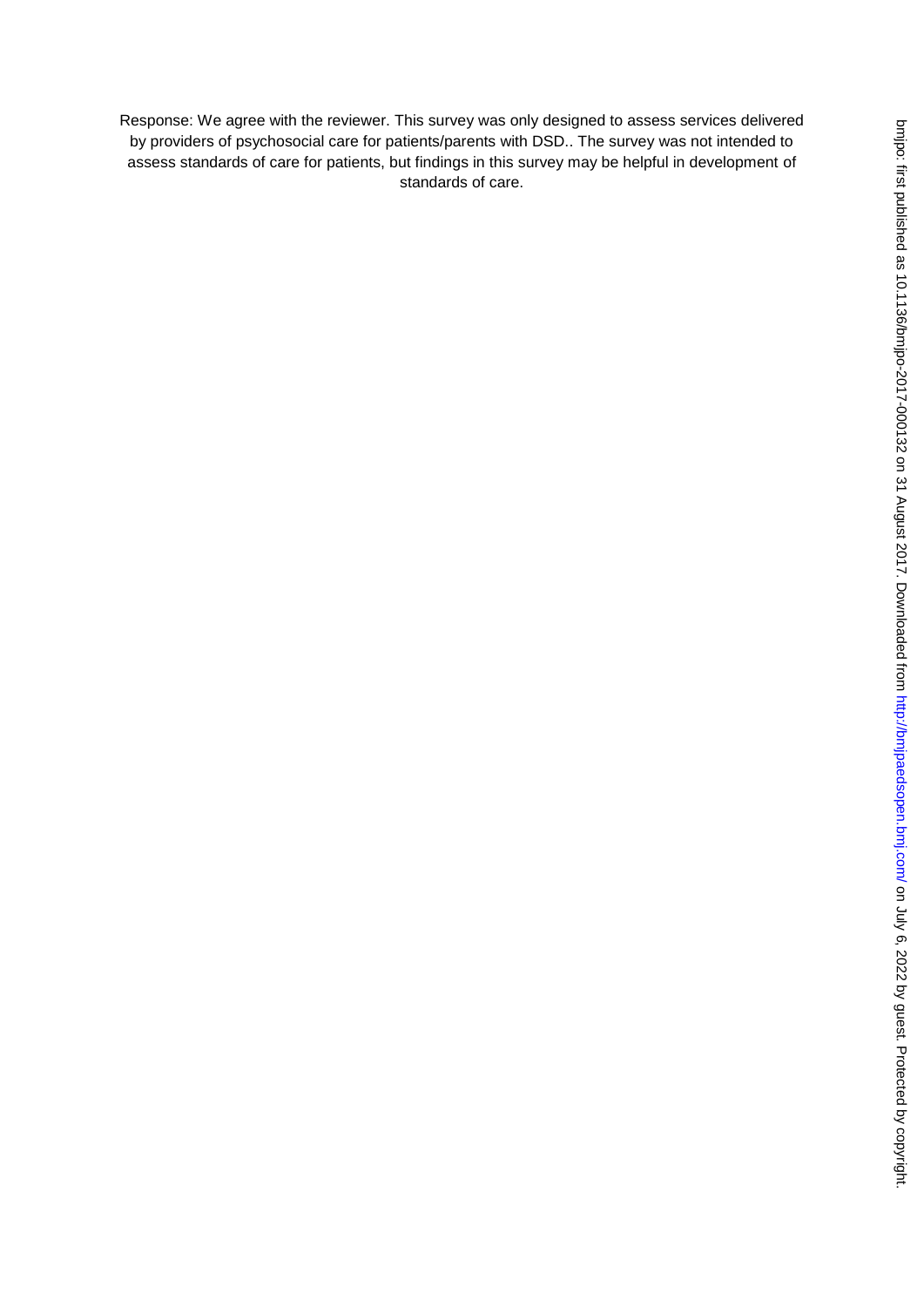Response: We agree with the reviewer. This survey was only designed to assess services delivered by providers of psychosocial care for patients/parents with DSD.. The survey was not intended to assess standards of care for patients, but findings in this survey may be helpful in development of standards of care.